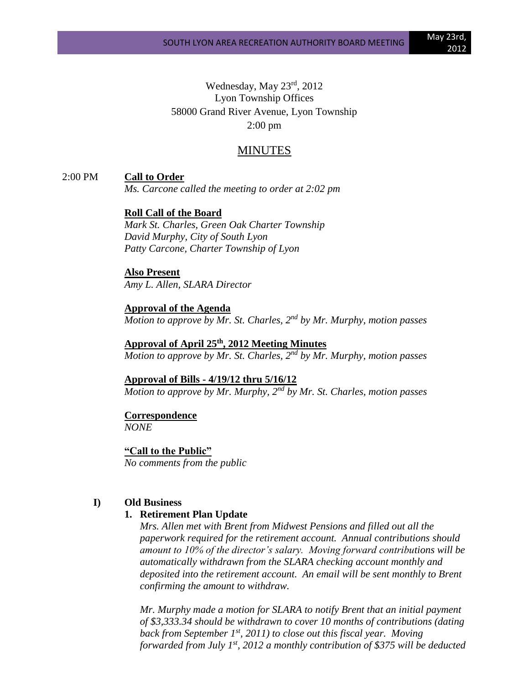Wednesday, May 23rd, 2012 Lyon Township Offices 58000 Grand River Avenue, Lyon Township 2:00 pm

# MINUTES

2:00 PM **Call to Order**

*Ms. Carcone called the meeting to order at 2:02 pm*

**Roll Call of the Board**

*Mark St. Charles, Green Oak Charter Township David Murphy, City of South Lyon Patty Carcone, Charter Township of Lyon*

**Also Present** *Amy L. Allen, SLARA Director*

**Approval of the Agenda** *Motion to approve by Mr. St. Charles, 2nd by Mr. Murphy, motion passes*

**Approval of April 25th , 2012 Meeting Minutes** *Motion to approve by Mr. St. Charles, 2nd by Mr. Murphy, motion passes*

**Approval of Bills - 4/19/12 thru 5/16/12** *Motion to approve by Mr. Murphy, 2nd by Mr. St. Charles, motion passes*

**Correspondence**

*NONE*

**"Call to the Public"** *No comments from the public*

#### **I) Old Business**

#### **1. Retirement Plan Update**

*Mrs. Allen met with Brent from Midwest Pensions and filled out all the paperwork required for the retirement account. Annual contributions should amount to 10% of the director's salary. Moving forward contributions will be automatically withdrawn from the SLARA checking account monthly and deposited into the retirement account. An email will be sent monthly to Brent confirming the amount to withdraw.* 

*Mr. Murphy made a motion for SLARA to notify Brent that an initial payment of \$3,333.34 should be withdrawn to cover 10 months of contributions (dating back from September 1st, 2011) to close out this fiscal year. Moving forwarded from July 1st, 2012 a monthly contribution of \$375 will be deducted*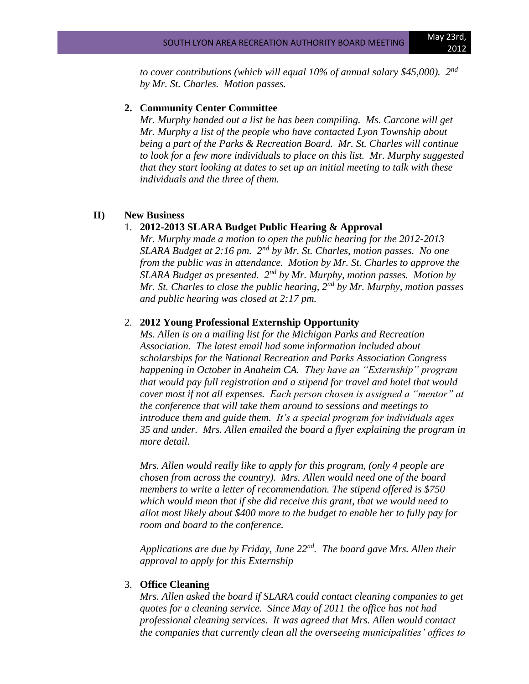*to cover contributions (which will equal 10% of annual salary \$45,000). 2nd by Mr. St. Charles. Motion passes.*

#### **2. Community Center Committee**

*Mr. Murphy handed out a list he has been compiling. Ms. Carcone will get Mr. Murphy a list of the people who have contacted Lyon Township about being a part of the Parks & Recreation Board. Mr. St. Charles will continue to look for a few more individuals to place on this list. Mr. Murphy suggested that they start looking at dates to set up an initial meeting to talk with these individuals and the three of them.*

#### **II) New Business**

#### 1. **2012-2013 SLARA Budget Public Hearing & Approval**

*Mr. Murphy made a motion to open the public hearing for the 2012-2013 SLARA Budget at 2:16 pm. 2nd by Mr. St. Charles, motion passes. No one from the public was in attendance. Motion by Mr. St. Charles to approve the SLARA Budget as presented. 2nd by Mr. Murphy, motion passes. Motion by Mr. St. Charles to close the public hearing, 2nd by Mr. Murphy, motion passes and public hearing was closed at 2:17 pm.*

## 2. **2012 Young Professional Externship Opportunity**

*Ms. Allen is on a mailing list for the Michigan Parks and Recreation Association. The latest email had some information included about scholarships for the National Recreation and Parks Association Congress happening in October in Anaheim CA. They have an "Externship" program that would pay full registration and a stipend for travel and hotel that would cover most if not all expenses. Each person chosen is assigned a "mentor" at the conference that will take them around to sessions and meetings to introduce them and guide them. It's a special program for individuals ages 35 and under. Mrs. Allen emailed the board a flyer explaining the program in more detail.*

*Mrs. Allen would really like to apply for this program, (only 4 people are chosen from across the country). Mrs. Allen would need one of the board members to write a letter of recommendation. The stipend offered is \$750 which would mean that if she did receive this grant, that we would need to allot most likely about \$400 more to the budget to enable her to fully pay for room and board to the conference.*

*Applications are due by Friday, June 22nd . The board gave Mrs. Allen their approval to apply for this Externship*

#### 3. **Office Cleaning**

*Mrs. Allen asked the board if SLARA could contact cleaning companies to get quotes for a cleaning service. Since May of 2011 the office has not had professional cleaning services. It was agreed that Mrs. Allen would contact the companies that currently clean all the overseeing municipalities' offices to*